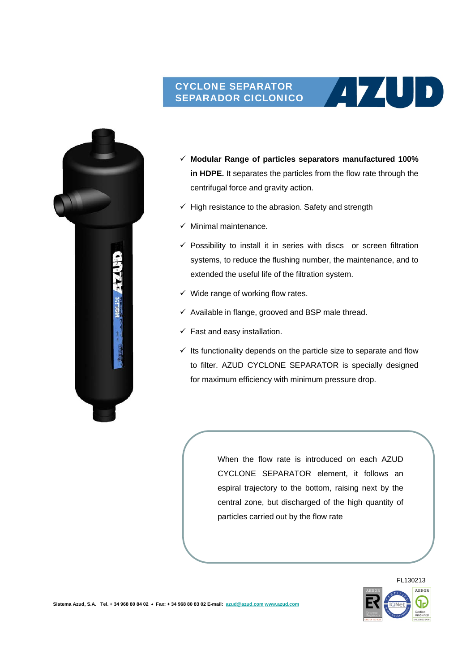## CYCLONE SEPARATOR SEPARADOR CICLONICO



 **Modular Range of particles separators manufactured 100% in HDPE.** It separates the particles from the flow rate through the centrifugal force and gravity action.

 $(1741)$ 

- $\checkmark$  High resistance to the abrasion. Safety and strength
- $\checkmark$  Minimal maintenance.
- $\checkmark$  Possibility to install it in series with discs or screen filtration systems, to reduce the flushing number, the maintenance, and to extended the useful life of the filtration system.
- $\checkmark$  Wide range of working flow rates.
- $\checkmark$  Available in flange, grooved and BSP male thread.
- $\checkmark$  Fast and easy installation.
- $\checkmark$  Its functionality depends on the particle size to separate and flow to filter. AZUD CYCLONE SEPARATOR is specially designed for maximum efficiency with minimum pressure drop.

When the flow rate is introduced on each AZUD CYCLONE SEPARATOR element, it follows an espiral trajectory to the bottom, raising next by the central zone, but discharged of the high quantity of particles carried out by the flow rate